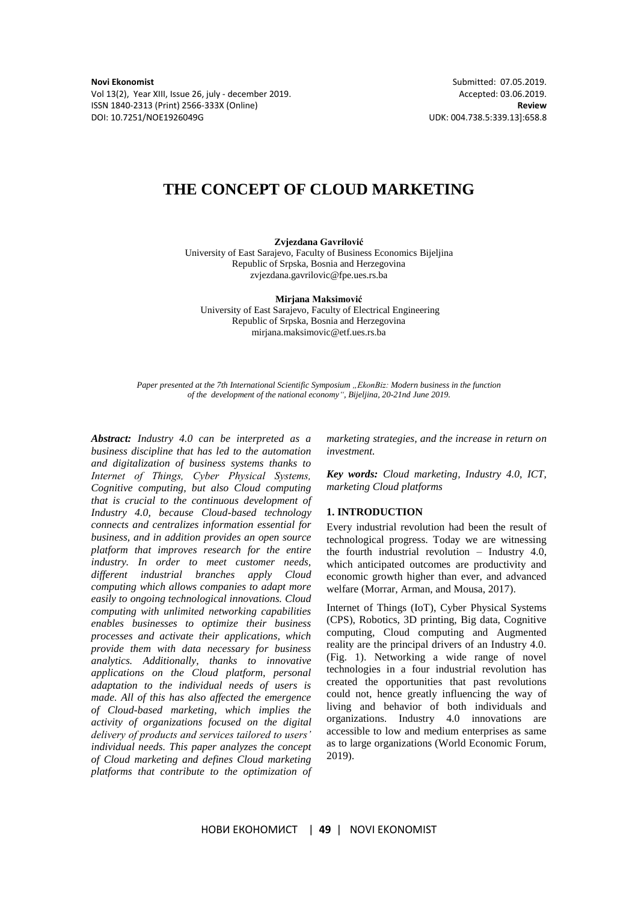**Novi Ekonomist** Submitted: 07.05.2019.<br>
Vol 13(2), Year XIII, Issue 26, july - december 2019. **Accepted: 03.06.2019.** 
Accepted: 03.06.2019. Vol 13(2), Year XIII, Issue 26, july - december 2019. ISSN 1840-2313 (Print) 2566-333X (Online) **Review** DOI: 10.7251/NOE1926049G UDK: 004.738.5:339.13]:658.8

## **THE CONCEPT OF CLOUD MARKETING**

**Zvjezdana Gavrilović** 

University of East Sarajevo, Faculty of Business Economics Bijeljina Republic of Srpska, Bosnia and Herzegovina zvjezdana.gavrilovic@fpe.ues.rs.ba

**Mirjana Maksimović** University of East Sarajevo, Faculty of Electrical Engineering Republic of Srpska, Bosnia and Herzegovina mirjana.maksimovic@etf.ues.rs.ba

*Paper presented at the 7th International Scientific Symposium "EkonBiz: Modern business in the function of the development of the national economy―, Bijeljina, 20-21nd June 2019.*

*Abstract: Industry 4.0 can be interpreted as a business discipline that has led to the automation and digitalization of business systems thanks to Internet of Тhings, Cyber Physical Systems, Cognitive computing, but also Cloud computing that is crucial to the continuous development of Industry 4.0, because Cloud-based technology connects and centralizes information essential for business, and in addition provides an open source platform that improves research for the entire industry. In order to meet customer needs, different industrial branches apply Cloud computing which allows companies to adapt more easily to ongoing technological innovations. Cloud computing with unlimited networking capabilities enables businesses to optimize their business processes and activate their applications, which provide them with data necessary for business analytics. Additionally, thanks to innovative applications on the Cloud platform, personal adaptation to the individual needs of users is made. All of this has also affected the emergence of Cloud-based marketing, which implies the activity of organizations focused on the digital delivery of products and services tailored to users' individual needs. This paper analyzes the concept of Cloud marketing and defines Cloud marketing platforms that contribute to the optimization of* 

*marketing strategies, and the increase in return on investment.*

*Key words: Cloud marketing, Industry 4.0, ICT, marketing Cloud platforms* 

### **1. INTRODUCTION**

Every industrial revolution had been the result of technological progress. Today we are witnessing the fourth industrial revolution – Industry 4.0, which anticipated outcomes are productivity and economic growth higher than ever, and advanced welfare (Morrar, Arman, and Mousa, 2017).

Internet of Things (IoT), Cyber Physical Systems (CPS), Robotics, 3D printing, Big data, Cognitive computing, Cloud computing and Augmented reality are the principal drivers of an Industry 4.0. (Fig. 1). Networking a wide range of novel technologies in a four industrial revolution has created the opportunities that past revolutions could not, hence greatly influencing the way of living and behavior of both individuals and organizations. Industry 4.0 innovations are accessible to low and medium enterprises as same as to large organizations (World Economic Forum, 2019).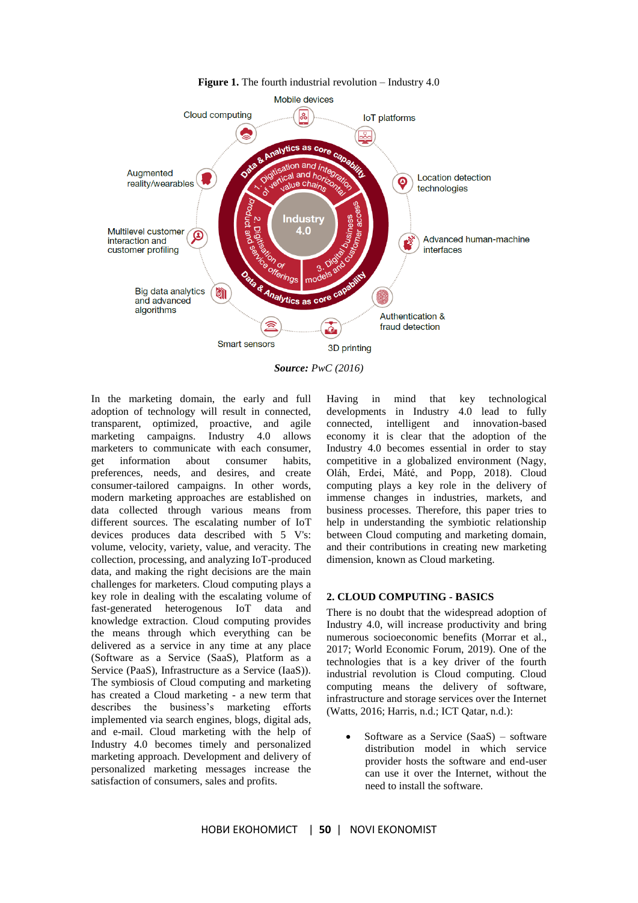

**Figure 1.** The fourth industrial revolution – Industry 4.0

*Source: PwC (2016)*

In the marketing domain, the early and full adoption of technology will result in connected, transparent, optimized, proactive, and agile marketing campaigns. Industry 4.0 allows marketers to communicate with each consumer, get information about consumer habits, preferences, needs, and desires, and create consumer-tailored campaigns. In other words, modern marketing approaches are established on data collected through various means from different sources. The escalating number of IoT devices produces data described with 5 V's: volume, velocity, variety, value, and veracity. The collection, processing, and analyzing IoT-produced data, and making the right decisions are the main challenges for marketers. Cloud computing plays a key role in dealing with the escalating volume of fast-generated heterogenous IoT data and knowledge extraction. Cloud computing provides the means through which everything can be delivered as a service in any time at any place (Software as a Service (SaaS), Platform as a Service (PaaS), Infrastructure as a Service (IaaS)). The symbiosis of Cloud computing and marketing has created a Cloud marketing - a new term that describes the business's marketing efforts implemented via search engines, blogs, digital ads, and e-mail. Cloud marketing with the help of Industry 4.0 becomes timely and personalized marketing approach. Development and delivery of personalized marketing messages increase the satisfaction of consumers, sales and profits.

Having in mind that key technological developments in Industry 4.0 lead to fully connected, intelligent and innovation-based economy it is clear that the adoption of the Industry 4.0 becomes essential in order to stay competitive in a globalized environment (Nagy, Oláh, Erdei, Máté, and Popp, 2018). Cloud computing plays a key role in the delivery of immense changes in industries, markets, and business processes. Therefore, this paper tries to help in understanding the symbiotic relationship between Cloud computing and marketing domain, and their contributions in creating new marketing dimension, known as Cloud marketing.

### **2. CLOUD COMPUTING - BASICS**

There is no doubt that the widespread adoption of Industry 4.0, will increase productivity and bring numerous socioeconomic benefits (Morrar et al., 2017; World Economic Forum, 2019). One of the technologies that is a key driver of the fourth industrial revolution is Cloud computing. Cloud computing means the delivery of software, infrastructure and storage services over the Internet (Watts, 2016; Harris, n.d.; ICT Qatar, n.d.):

 Software as a Service (SaaS) – software distribution model in which service provider hosts the software and end-user can use it over the Internet, without the need to install the software.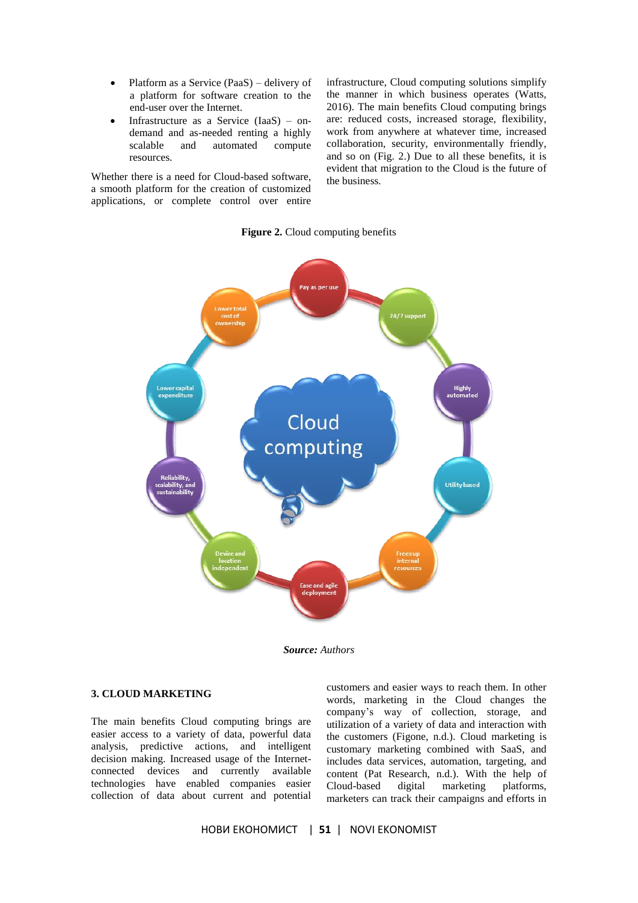- Platform as a Service (PaaS) delivery of a platform for software creation to the end-user over the Internet.
- Infrastructure as a Service (IaaS) ondemand and as-needed renting a highly scalable and automated compute resources.

Whether there is a need for Cloud-based software, a smooth platform for the creation of customized applications, or complete control over entire infrastructure, Cloud computing solutions simplify the manner in which business operates (Watts, 2016). The main benefits Cloud computing brings are: reduced costs, increased storage, flexibility, work from anywhere at whatever time, increased collaboration, security, environmentally friendly, and so on (Fig. 2.) Due to all these benefits, it is evident that migration to the Cloud is the future of the business.

### **Figure 2.** Cloud computing benefits



*Source: Authors*

### **3. CLOUD MARKETING**

The main benefits Cloud computing brings are easier access to a variety of data, powerful data analysis, predictive actions, and intelligent decision making. Increased usage of the Internetconnected devices and currently available technologies have enabled companies easier collection of data about current and potential

customers and easier ways to reach them. In other words, marketing in the Cloud changes the company's way of collection, storage, and utilization of a variety of data and interaction with the customers (Figone, n.d.). Cloud marketing is customary marketing combined with SaaS, and includes data services, automation, targeting, and content (Pat Research, n.d.). With the help of Cloud-based digital marketing platforms, marketers can track their campaigns and efforts in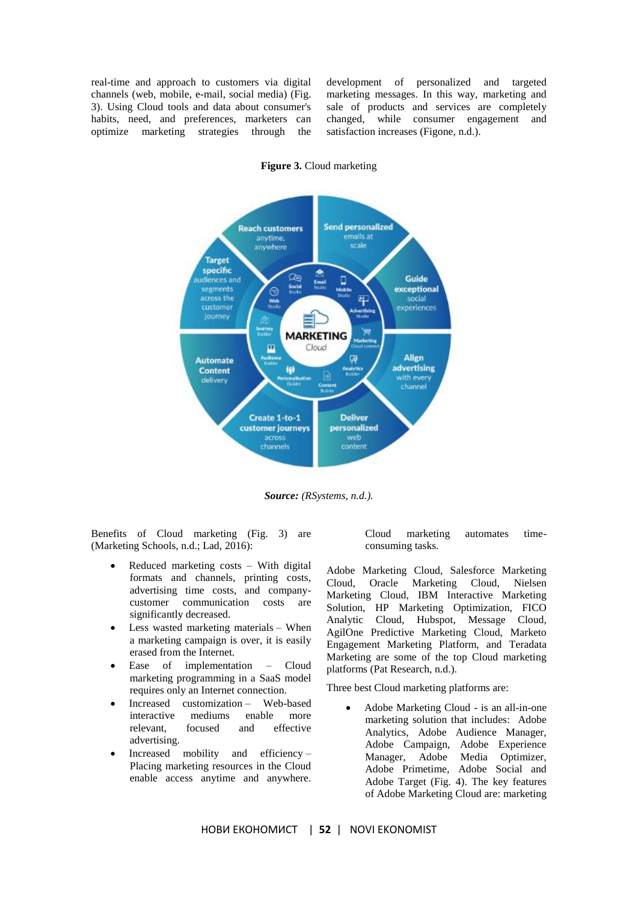real-time and approach to customers via digital channels (web, mobile, e-mail, social media) (Fig. 3). Using Cloud tools and data about consumer's habits, need, and preferences, marketers can optimize marketing strategies through the development of personalized and targeted marketing messages. In this way, marketing and sale of products and services are completely changed, while consumer engagement and satisfaction increases (Figone, n.d.).



**Figure 3.** Cloud marketing

*Source: (RSystems, n.d.).*

Benefits of Cloud marketing (Fig. 3) are (Marketing Schools, n.d.; Lad, 2016):

- Reduced marketing costs With digital formats and channels, printing costs, advertising time costs, and companycustomer communication costs are significantly decreased.
- Less wasted marketing materials When a marketing campaign is over, it is easily erased from the Internet.
- Ease of implementation Cloud marketing programming in a SaaS model requires only an Internet connection.
- Increased customization Web-based interactive mediums enable more relevant, focused and effective advertising.
- Increased mobility and efficiency Placing marketing resources in the Cloud enable access anytime and anywhere.

Cloud marketing automates timeconsuming tasks.

Adobe Marketing Cloud, Salesforce Marketing Cloud, Oracle Marketing Cloud, Nielsen Marketing Cloud, IBM Interactive Marketing Solution, HP Marketing Optimization, FICO Analytic Cloud, Hubspot, Message Cloud, AgilOne Predictive Marketing Cloud, Marketo Engagement Marketing Platform, and Teradata Marketing are some of the top Cloud marketing platforms (Pat Research, n.d.).

Three best Cloud marketing platforms are:

 Adobe Marketing Cloud - is an all-in-one marketing solution that includes: Adobe Analytics, Adobe Audience Manager, Adobe Campaign, Adobe Experience Manager, Adobe Media Optimizer, Adobe Primetime, Adobe Social and Adobe Target (Fig. 4). The key features of Adobe Marketing Cloud are: marketing

НОВИ ЕКОНОМИСТ | **52** | NOVI EKONOMIST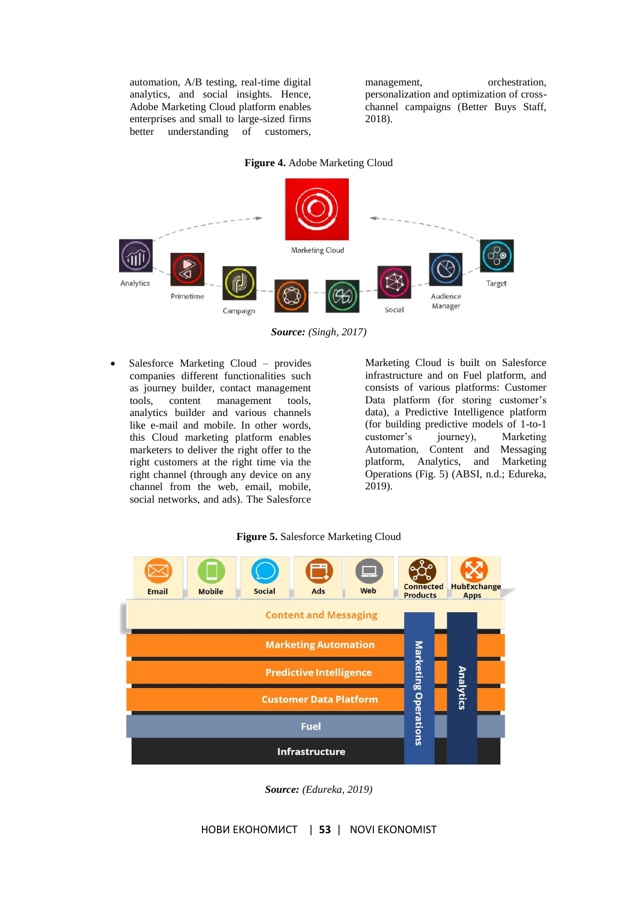automation, A/B testing, real-time digital analytics, and social insights. Hence, Adobe Marketing Cloud platform enables enterprises and small to large-sized firms better understanding of customers,

management, orchestration, personalization and optimization of crosschannel campaigns (Better Buys Staff, 2018).

# **Figure 4.** Adobe Marketing Cloud



*Source: (Singh, 2017)*

 Salesforce Marketing Cloud – provides companies different functionalities such as journey builder, contact management tools, content management tools, analytics builder and various channels like e-mail and mobile. In other words, this Cloud marketing platform enables marketers to deliver the right offer to the right customers at the right time via the right channel (through any device on any channel from the web, email, mobile, social networks, and ads). The Salesforce

Marketing Cloud is built on Salesforce infrastructure and on Fuel platform, and consists of various platforms: Customer Data platform (for storing customer's data), a Predictive Intelligence platform (for building predictive models of 1-to-1 customer's journey), Marketing Automation, Content and Messaging platform, Analytics, and Marketing Operations (Fig. 5) (ABSI, n.d.; Edureka, 2019).

### **Figure 5.** Salesforce Marketing Cloud



*Source: (Edureka, 2019)*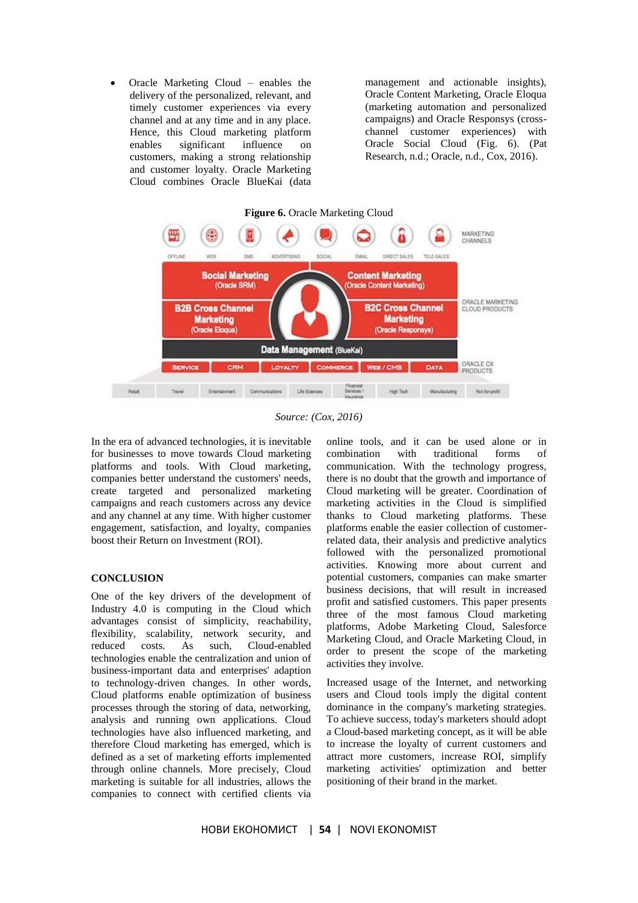Oracle Marketing Cloud – enables the delivery of the personalized, relevant, and timely customer experiences via every channel and at any time and in any place. Hence, this Cloud marketing platform enables significant influence on customers, making a strong relationship and customer loyalty. Oracle Marketing Cloud combines Oracle BlueKai (data management and actionable insights), Oracle Content Marketing, Oracle Eloqua (marketing automation and personalized campaigns) and Oracle Responsys (crosschannel customer experiences) with Oracle Social Cloud (Fig. 6). (Pat Research, n.d.; Oracle, n.d., Cox, 2016).



*Source: (Cox, 2016)*

In the era of advanced technologies, it is inevitable for businesses to move towards Cloud marketing platforms and tools. With Cloud marketing, companies better understand the customers' needs, create targeted and personalized marketing campaigns and reach customers across any device and any channel at any time. With higher customer engagement, satisfaction, and loyalty, companies boost their Return on Investment (ROI).

### **CONCLUSION**

One of the key drivers of the development of Industry 4.0 is computing in the Cloud which advantages consist of simplicity, reachability, flexibility, scalability, network security, and reduced costs. As such, Cloud-enabled technologies enable the centralization and union of business-important data and enterprises' adaption to technology-driven changes. In other words, Cloud platforms enable optimization of business processes through the storing of data, networking, analysis and running own applications. Cloud technologies have also influenced marketing, and therefore Cloud marketing has emerged, which is defined as a set of marketing efforts implemented through online channels. More precisely, Cloud marketing is suitable for all industries, allows the companies to connect with certified clients via

online tools, and it can be used alone or in combination with traditional forms of communication. With the technology progress, there is no doubt that the growth and importance of Cloud marketing will be greater. Coordination of marketing activities in the Cloud is simplified thanks to Cloud marketing platforms. These platforms enable the easier collection of customerrelated data, their analysis and predictive analytics followed with the personalized promotional activities. Knowing more about current and potential customers, companies can make smarter business decisions, that will result in increased profit and satisfied customers. This paper presents three of the most famous Cloud marketing platforms, Adobe Marketing Cloud, Salesforce Marketing Cloud, and Oracle Marketing Cloud, in order to present the scope of the marketing activities they involve.

Increased usage of the Internet, and networking users and Cloud tools imply the digital content dominance in the company's marketing strategies. To achieve success, today's marketers should adopt a Cloud-based marketing concept, as it will be able to increase the loyalty of current customers and attract more customers, increase ROI, simplify marketing activities' optimization and better positioning of their brand in the market.